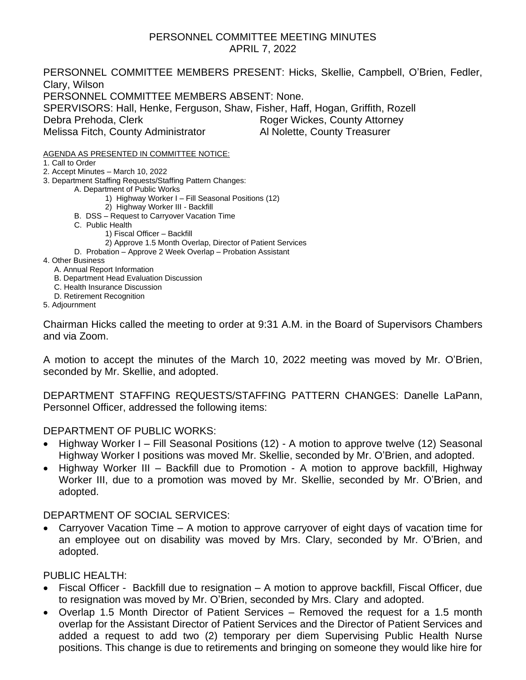#### PERSONNEL COMMITTEE MEETING MINUTES APRIL 7, 2022

PERSONNEL COMMITTEE MEMBERS PRESENT: Hicks, Skellie, Campbell, O'Brien, Fedler, Clary, Wilson PERSONNEL COMMITTEE MEMBERS ABSENT: None. SPERVISORS: Hall, Henke, Ferguson, Shaw, Fisher, Haff, Hogan, Griffith, Rozell Debra Prehoda, Clerk Roger Wickes, County Attorney Melissa Fitch, County Administrator Al Nolette, County Treasurer

AGENDA AS PRESENTED IN COMMITTEE NOTICE:

1. Call to Order

2. Accept Minutes – March 10, 2022

3. Department Staffing Requests/Staffing Pattern Changes:

A. Department of Public Works

- 1) Highway Worker I Fill Seasonal Positions (12)
- 2) Highway Worker III Backfill
- B. DSS Request to Carryover Vacation Time
- C. Public Health
	- 1) Fiscal Officer Backfill
	- 2) Approve 1.5 Month Overlap, Director of Patient Services
- D. Probation Approve 2 Week Overlap Probation Assistant

4. Other Business

- A. Annual Report Information
- B. Department Head Evaluation Discussion
- C. Health Insurance Discussion
- D. Retirement Recognition
- 5. Adjournment

Chairman Hicks called the meeting to order at 9:31 A.M. in the Board of Supervisors Chambers and via Zoom.

A motion to accept the minutes of the March 10, 2022 meeting was moved by Mr. O'Brien, seconded by Mr. Skellie, and adopted.

DEPARTMENT STAFFING REQUESTS/STAFFING PATTERN CHANGES: Danelle LaPann, Personnel Officer, addressed the following items:

#### DEPARTMENT OF PUBLIC WORKS:

- Highway Worker I Fill Seasonal Positions (12) A motion to approve twelve (12) Seasonal Highway Worker I positions was moved Mr. Skellie, seconded by Mr. O'Brien, and adopted.
- Highway Worker III Backfill due to Promotion A motion to approve backfill, Highway Worker III, due to a promotion was moved by Mr. Skellie, seconded by Mr. O'Brien, and adopted.

#### DEPARTMENT OF SOCIAL SERVICES:

• Carryover Vacation Time – A motion to approve carryover of eight days of vacation time for an employee out on disability was moved by Mrs. Clary, seconded by Mr. O'Brien, and adopted.

#### PUBLIC HEALTH:

- Fiscal Officer Backfill due to resignation A motion to approve backfill, Fiscal Officer, due to resignation was moved by Mr. O'Brien, seconded by Mrs. Clary and adopted.
- Overlap 1.5 Month Director of Patient Services Removed the request for a 1.5 month overlap for the Assistant Director of Patient Services and the Director of Patient Services and added a request to add two (2) temporary per diem Supervising Public Health Nurse positions. This change is due to retirements and bringing on someone they would like hire for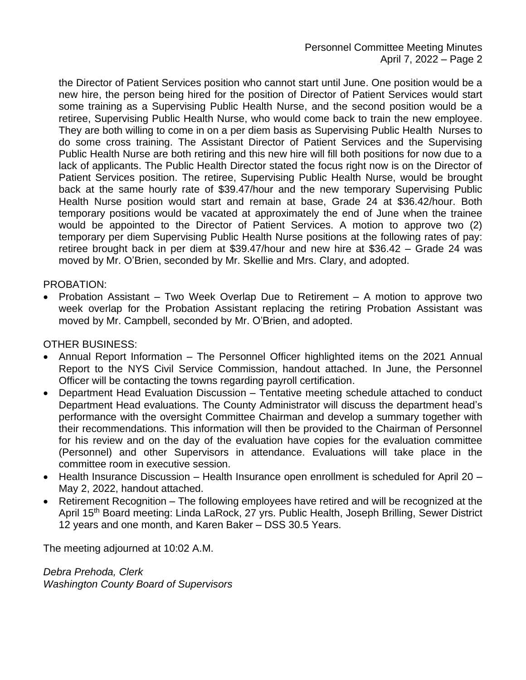the Director of Patient Services position who cannot start until June. One position would be a new hire, the person being hired for the position of Director of Patient Services would start some training as a Supervising Public Health Nurse, and the second position would be a retiree, Supervising Public Health Nurse, who would come back to train the new employee. They are both willing to come in on a per diem basis as Supervising Public Health Nurses to do some cross training. The Assistant Director of Patient Services and the Supervising Public Health Nurse are both retiring and this new hire will fill both positions for now due to a lack of applicants. The Public Health Director stated the focus right now is on the Director of Patient Services position. The retiree, Supervising Public Health Nurse, would be brought back at the same hourly rate of \$39.47/hour and the new temporary Supervising Public Health Nurse position would start and remain at base, Grade 24 at \$36.42/hour. Both temporary positions would be vacated at approximately the end of June when the trainee would be appointed to the Director of Patient Services. A motion to approve two (2) temporary per diem Supervising Public Health Nurse positions at the following rates of pay: retiree brought back in per diem at \$39.47/hour and new hire at \$36.42 – Grade 24 was moved by Mr. O'Brien, seconded by Mr. Skellie and Mrs. Clary, and adopted.

#### PROBATION:

• Probation Assistant – Two Week Overlap Due to Retirement – A motion to approve two week overlap for the Probation Assistant replacing the retiring Probation Assistant was moved by Mr. Campbell, seconded by Mr. O'Brien, and adopted.

#### OTHER BUSINESS:

- Annual Report Information The Personnel Officer highlighted items on the 2021 Annual Report to the NYS Civil Service Commission, handout attached. In June, the Personnel Officer will be contacting the towns regarding payroll certification.
- Department Head Evaluation Discussion Tentative meeting schedule attached to conduct Department Head evaluations. The County Administrator will discuss the department head's performance with the oversight Committee Chairman and develop a summary together with their recommendations. This information will then be provided to the Chairman of Personnel for his review and on the day of the evaluation have copies for the evaluation committee (Personnel) and other Supervisors in attendance. Evaluations will take place in the committee room in executive session.
- Health Insurance Discussion Health Insurance open enrollment is scheduled for April 20 May 2, 2022, handout attached.
- Retirement Recognition The following employees have retired and will be recognized at the April 15th Board meeting: Linda LaRock, 27 yrs. Public Health, Joseph Brilling, Sewer District 12 years and one month, and Karen Baker – DSS 30.5 Years.

The meeting adjourned at 10:02 A.M.

*Debra Prehoda, Clerk Washington County Board of Supervisors*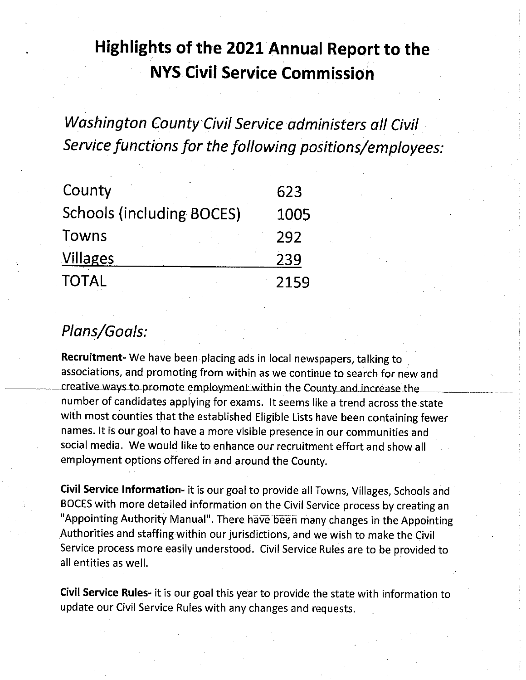## Highlights of the 2021 Annual Report to the **NYS Civil Service Commission**

Washington County Civil Service administers all Civil Service functions for the following positions/employees:

| County                           | 623  |
|----------------------------------|------|
| <b>Schools (including BOCES)</b> | 1005 |
| Towns                            | 292  |
| <b>Villages</b>                  | 239  |
| <b>TOTAL</b>                     | 2159 |

### Plans/Goals:

Recruitment- We have been placing ads in local newspapers, talking to associations, and promoting from within as we continue to search for new and creative ways to promote employment within the County and increase the number of candidates applying for exams. It seems like a trend across the state with most counties that the established Eligible Lists have been containing fewer names. It is our goal to have a more visible presence in our communities and social media. We would like to enhance our recruitment effort and show all employment options offered in and around the County.

Civil Service Information- it is our goal to provide all Towns, Villages, Schools and BOCES with more detailed information on the Civil Service process by creating an "Appointing Authority Manual". There have been many changes in the Appointing Authorities and staffing within our jurisdictions, and we wish to make the Civil Service process more easily understood. Civil Service Rules are to be provided to all entities as well.

Civil Service Rules- it is our goal this year to provide the state with information to update our Civil Service Rules with any changes and requests.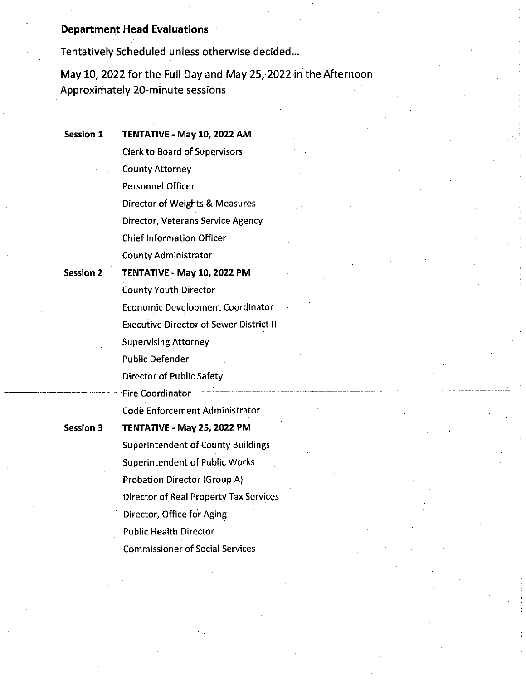#### **Department Head Evaluations**

Tentatively Scheduled unless otherwise decided...

May 10, 2022 for the Full Day and May 25, 2022 in the Afternoon Approximately 20-minute sessions

**Session 1** 

TENTATIVE - May 10, 2022 AM **Clerk to Board of Supervisors** 

**County Attorney** 

Personnel Officer

Director of Weights & Measures Director, Veterans Service Agency **Chief Information Officer** 

**County Administrator** 

**Session 2** 

TENTATIVE - May 10, 2022 PM **County Youth Director Economic Development Coordinator Executive Director of Sewer District II Supervising Attorney** Public Defender Director of Public Safety Fire Coordinator **Code Enforcement Administrator** TENTATIVE - May 25, 2022 PM **Superintendent of County Buildings Superintendent of Public Works Probation Director (Group A)** Director of Real Property Tax Services

**Session 3** 

Director, Office for Aging

**Public Health Director** 

**Commissioner of Social Services**